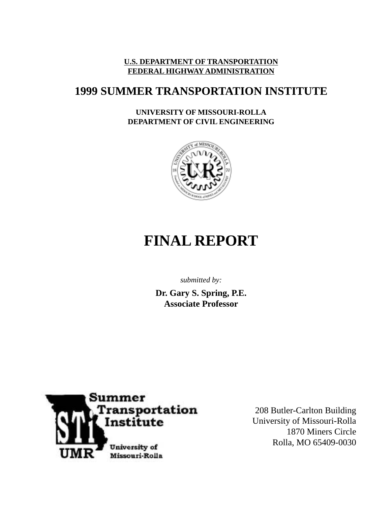### **U.S. DEPARTMENT OF TRANSPORTATION FEDERAL HIGHWAY ADMINISTRATION**

## **1999 SUMMER TRANSPORTATION INSTITUTE**

### **UNIVERSITY OF MISSOURI-ROLLA DEPARTMENT OF CIVIL ENGINEERING**



# **FINAL REPORT**

*submitted by:*

**Dr. Gary S. Spring, P.E. Associate Professor**



208 Butler-Carlton Building University of Missouri-Rolla 1870 Miners Circle Rolla, MO 65409-0030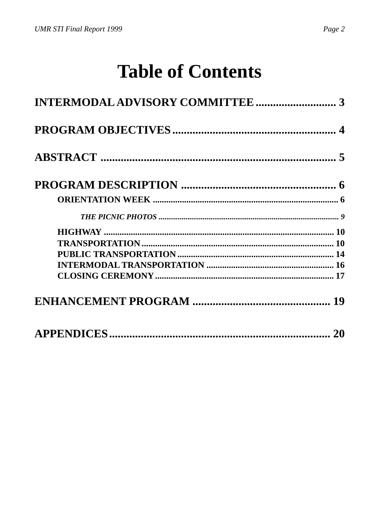# **Table of Contents**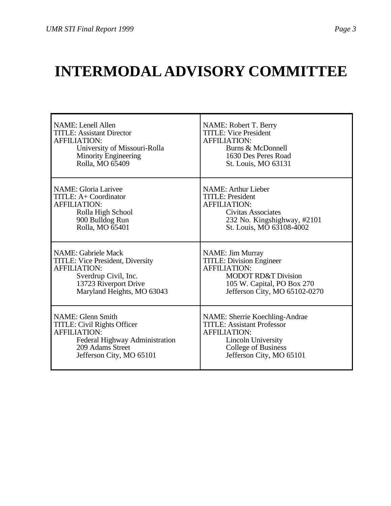# <span id="page-2-0"></span>**INTERMODAL ADVISORY COMMITTEE**

| <b>NAME:</b> Lenell Allen          | NAME: Robert T. Berry             |
|------------------------------------|-----------------------------------|
| <b>TITLE: Assistant Director</b>   | <b>TITLE: Vice President</b>      |
| <b>AFFILIATION:</b>                | <b>AFFILIATION:</b>               |
| University of Missouri-Rolla       | Burns & McDonnell                 |
| <b>Minority Engineering</b>        | 1630 Des Peres Road               |
| Rolla, MO 65409                    | St. Louis, MO 63131               |
| <b>NAME: Gloria Larivee</b>        | <b>NAME: Arthur Lieber</b>        |
| TITLE: A+ Coordinator              | <b>TITLE: President</b>           |
| <b>AFFILIATION:</b>                | <b>AFFILIATION:</b>               |
| Rolla High School                  | Civitas Associates                |
| 900 Bulldog Run                    | 232 No. Kingshighway, #2101       |
| Rolla, MO 65401                    | St. Louis, MO 63108-4002          |
| <b>NAME: Gabriele Mack</b>         | <b>NAME:</b> Jim Murray           |
| TITLE: Vice President, Diversity   | <b>TITLE: Division Engineer</b>   |
| <b>AFFILIATION:</b>                | <b>AFFILIATION:</b>               |
| Sverdrup Civil, Inc.               | <b>MODOT RD&amp;T Division</b>    |
| 13723 Riverport Drive              | 105 W. Capital, PO Box 270        |
| Maryland Heights, MO 63043         | Jefferson City, MO 65102-0270     |
| <b>NAME:</b> Glenn Smith           | NAME: Sherrie Koechling-Andrae    |
| <b>TITLE: Civil Rights Officer</b> | <b>TITLE: Assistant Professor</b> |
| <b>AFFILIATION:</b>                | <b>AFFILIATION:</b>               |
| Federal Highway Administration     | <b>Lincoln University</b>         |
| 209 Adams Street                   | <b>College of Business</b>        |
| Jefferson City, MO 65101           | Jefferson City, MO 65101          |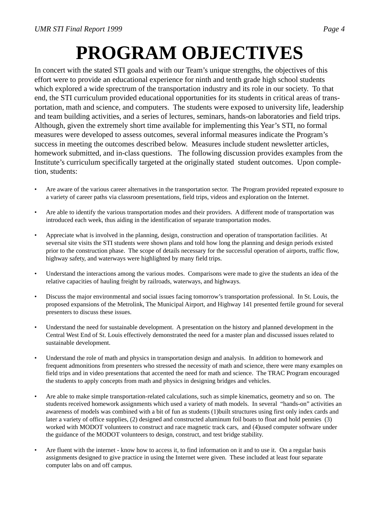# **PROGRAM OBJECTIVES**

<span id="page-3-0"></span>In concert with the stated STI goals and with our Team's unique strengths, the objectives of this effort were to provide an educational experience for ninth and tenth grade high school students which explored a wide sprectrum of the transportation industry and its role in our society. To that end, the STI curriculum provided educational opportunities for its students in critical areas of transportation, math and science, and computers. The students were exposed to university life, leadership and team building activities, and a series of lectures, seminars, hands-on laboratories and field trips. Although, given the extremely short time available for implementing this Year's STI, no formal measures were developed to assess outcomes, several informal measures indicate the Program's success in meeting the outcomes described below. Measures include student newsletter articles, homework submitted, and in-class questions. The following discussion provides examples from the Institute's curriculum specifically targeted at the originally stated student outcomes. Upon completion, students:

- Are aware of the various career alternatives in the transportation sector. The Program provided repeated exposure to a variety of career paths via classroom presentations, field trips, videos and exploration on the Internet.
- Are able to identify the various transportation modes and their providers. A different mode of transportation was introduced each week, thus aiding in the identification of separate transportation modes.
- Appreciate what is involved in the planning, design, construction and operation of transportation facilities. At seversal site visits the STI students were shown plans and told how long the planning and design periods existed prior to the construction phase. The scope of details necessary for the successful operation of airports, traffic flow, highway safety, and waterways were highlighted by many field trips.
- Understand the interactions among the various modes. Comparisons were made to give the students an idea of the relative capacities of hauling freight by railroads, waterways, and highways.
- Discuss the major environmental and social issues facing tomorrow's transportation professional. In St. Louis, the proposed expansions of the Metrolink, The Municipal Airport, and Highway 141 presented fertile ground for several presenters to discuss these issues.
- Understand the need for sustainable development. A presentation on the history and planned development in the Central West End of St. Louis effectively demonstrated the need for a master plan and discussed issues related to sustainable development.
- Understand the role of math and physics in transportation design and analysis. In addition to homework and frequent admonitions from presenters who stressed the necessity of math and science, there were many examples on field trips and in video presentations that accented the need for math and science. The TRAC Program encouraged the students to apply concepts from math and physics in designing bridges and vehicles.
- Are able to make simple transportation-related calculations, such as simple kinematics, geometry and so on. The students received homework assignments which used a variety of math models. In several "hands-on" activities an awareness of models was combined with a bit of fun as students (1)built structures using first only index cards and later a variety of office supplies, (2) designed and constructed aluminum foil boats to float and hold pennies (3) worked with MODOT volunteers to construct and race magnetic track cars, and (4)used computer software under the guidance of the MODOT volunteers to design, construct, and test bridge stability.
- Are fluent with the internet know how to access it, to find information on it and to use it. On a regular basis assignments designed to give practice in using the Internet were given. These included at least four separate computer labs on and off campus.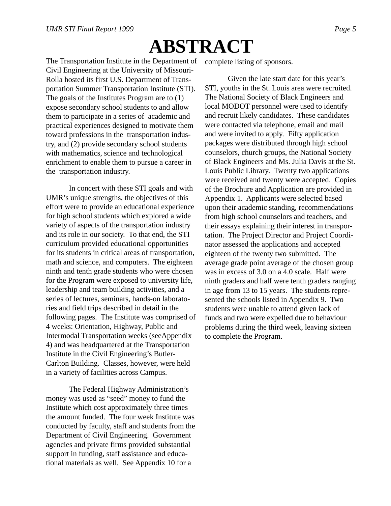# **ABSTRACT**

<span id="page-4-0"></span>The Transportation Institute in the Department of Civil Engineering at the University of Missouri-Rolla hosted its first U.S. Department of Transportation Summer Transportation Institute (STI). The goals of the Institutes Program are to (1) expose secondary school students to and allow them to participate in a series of academic and practical experiences designed to motivate them toward professions in the transportation industry, and (2) provide secondary school students with mathematics, science and technological enrichment to enable them to pursue a career in the transportation industry.

In concert with these STI goals and with UMR's unique strengths, the objectives of this effort were to provide an educational experience for high school students which explored a wide variety of aspects of the transportation industry and its role in our society. To that end, the STI curriculum provided educational opportunities for its students in critical areas of transportation, math and science, and computers. The eighteen ninth and tenth grade students who were chosen for the Program were exposed to university life, leadership and team building activities, and a series of lectures, seminars, hands-on laboratories and field trips described in detail in the following pages. The Institute was comprised of 4 weeks: Orientation, Highway, Public and Intermodal Transportation weeks (seeAppendix 4) and was headquartered at the Transportation Institute in the Civil Engineering's Butler-Carlton Building. Classes, however, were held in a variety of facilities across Campus.

The Federal Highway Administration's money was used as "seed" money to fund the Institute which cost approximately three times the amount funded. The four week Institute was conducted by faculty, staff and students from the Department of Civil Engineering. Government agencies and private firms provided substantial support in funding, staff assistance and educational materials as well. See Appendix 10 for a

complete listing of sponsors.

Given the late start date for this year's STI, youths in the St. Louis area were recruited. The National Society of Black Engineers and local MODOT personnel were used to identify and recruit likely candidates. These candidates were contacted via telephone, email and mail and were invited to apply. Fifty application packages were distributed through high school counselors, church groups, the National Society of Black Engineers and Ms. Julia Davis at the St. Louis Public Library. Twenty two applications were received and twenty were accepted. Copies of the Brochure and Application are provided in Appendix 1. Applicants were selected based upon their academic standing, recommendations from high school counselors and teachers, and their essays explaining their interest in transportation. The Project Director and Project Coordinator assessed the applications and accepted eighteen of the twenty two submitted. The average grade point average of the chosen group was in excess of 3.0 on a 4.0 scale. Half were ninth graders and half were tenth graders ranging in age from 13 to 15 years. The students represented the schools listed in Appendix 9. Two students were unable to attend given lack of funds and two were expelled due to behaviour problems during the third week, leaving sixteen to complete the Program.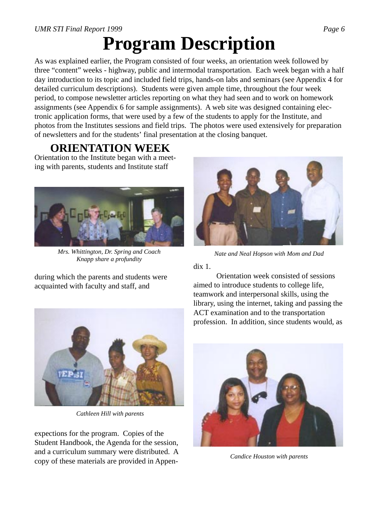# **Program Description**

<span id="page-5-0"></span>As was explained earlier, the Program consisted of four weeks, an orientation week followed by three "content" weeks - highway, public and intermodal transportation. Each week began with a half day introduction to its topic and included field trips, hands-on labs and seminars (see Appendix 4 for detailed curriculum descriptions). Students were given ample time, throughout the four week period, to compose newsletter articles reporting on what they had seen and to work on homework assignments (see Appendix 6 for sample assignments). A web site was designed containing electronic application forms, that were used by a few of the students to apply for the Institute, and photos from the Institutes sessions and field trips. The photos were used extensively for preparation of newsletters and for the students' final presentation at the closing banquet.

## **ORIENTATION WEEK**

Orientation to the Institute began with a meeting with parents, students and Institute staff



*Mrs. Whittington, Dr. Spring and Coach Knapp share a profundity*

during which the parents and students were acquainted with faculty and staff, and



*Nate and Neal Hopson with Mom and Dad*

dix 1.

Orientation week consisted of sessions aimed to introduce students to college life, teamwork and interpersonal skills, using the library, using the internet, taking and passing the ACT examination and to the transportation profession. In addition, since students would, as



*Cathleen Hill with parents*

expections for the program. Copies of the Student Handbook, the Agenda for the session, and a curriculum summary were distributed. A copy of these materials are provided in Appen-



*Candice Houston with parents*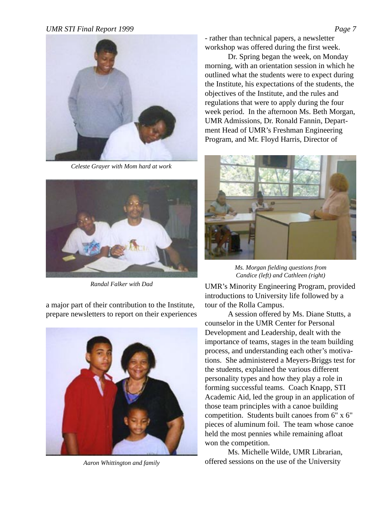

*Celeste Grayer with Mom hard at work*



*Randal Falker with Dad*

a major part of their contribution to the Institute, prepare newsletters to report on their experiences



*Aaron Whittington and family*

- rather than technical papers, a newsletter workshop was offered during the first week.

Dr. Spring began the week, on Monday morning, with an orientation session in which he outlined what the students were to expect during the Institute, his expectations of the students, the objectives of the Institute, and the rules and regulations that were to apply during the four week period. In the afternoon Ms. Beth Morgan, UMR Admissions, Dr. Ronald Fannin, Department Head of UMR's Freshman Engineering Program, and Mr. Floyd Harris, Director of



*Ms. Morgan fielding questions from Candice (left) and Cathleen (right)*

UMR's Minority Engineering Program, provided introductions to University life followed by a tour of the Rolla Campus.

A session offered by Ms. Diane Stutts, a counselor in the UMR Center for Personal Development and Leadership, dealt with the importance of teams, stages in the team building process, and understanding each other's motivations. She administered a Meyers-Briggs test for the students, explained the various different personality types and how they play a role in forming successful teams. Coach Knapp, STI Academic Aid, led the group in an application of those team principles with a canoe building competition. Students built canoes from 6" x 6" pieces of aluminum foil. The team whose canoe held the most pennies while remaining afloat won the competition.

Ms. Michelle Wilde, UMR Librarian, offered sessions on the use of the University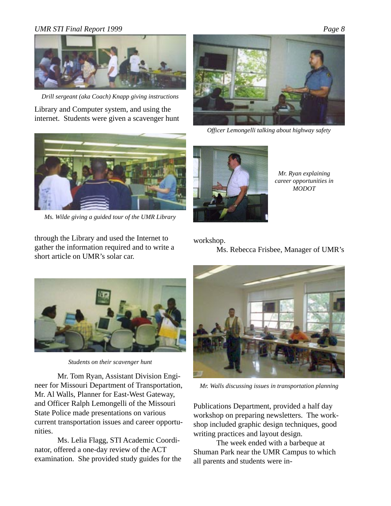

*Drill sergeant (aka Coach) Knapp giving instructions*

Library and Computer system, and using the internet. Students were given a scavenger hunt



*Officer Lemongelli talking about highway safety*



*Ms. Wilde giving a guided tour of the UMR Library*

through the Library and used the Internet to gather the information required and to write a short article on UMR's solar car.



*Mr. Ryan explaining career opportunities in MODOT*

#### workshop.

Ms. Rebecca Frisbee, Manager of UMR's



*Students on their scavenger hunt*

Mr. Tom Ryan, Assistant Division Engineer for Missouri Department of Transportation, Mr. Al Walls, Planner for East-West Gateway, and Officer Ralph Lemongelli of the Missouri State Police made presentations on various current transportation issues and career opportunities.

Ms. Lelia Flagg, STI Academic Coordinator, offered a one-day review of the ACT examination. She provided study guides for the



*Mr. Walls discussing issues in transportation planning*

Publications Department, provided a half day workshop on preparing newsletters. The workshop included graphic design techniques, good writing practices and layout design.

The week ended with a barbeque at Shuman Park near the UMR Campus to which all parents and students were in-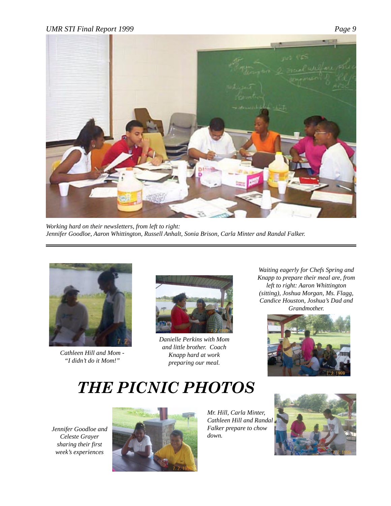<span id="page-8-0"></span>

*Working hard on their newsletters, from left to right: Jennifer Goodloe, Aaron Whittington, Russell Anhalt, Sonia Brison, Carla Minter and Randal Falker.*



*Cathleen Hill and Mom - "I didn't do it Mom!"*



*Danielle Perkins with Mom and little brother. Coach Knapp hard at work preparing our meal.*

*Waiting eagerly for Chefs Spring and Knapp to prepare their meal are, from left to right: Aaron Whittington (sitting), Joshua Morgan, Ms. Flagg, Candice Houston, Joshua's Dad and Grandmother.*



# *THE PICNIC PHOTOS*

*Jennifer Goodloe and Celeste Grayer sharing their first week's experiences*



*Mr. Hill, Carla Minter, Cathleen Hill and Randal Falker prepare to chow down.*

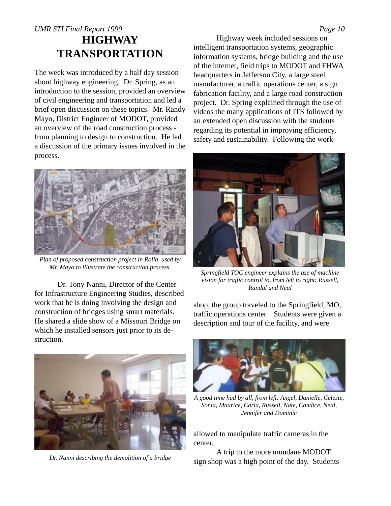### <span id="page-9-0"></span>*UMR STI Final Report 1999 Page 10* **HIGHWAY TRANSPORTATION**

The week was introduced by a half day session about highway engineering. Dr. Spring, as an introduction to the session, provided an overview of civil engineering and transportation and led a brief open discussion on these topics. Mr. Randy Mayo, District Engineer of MODOT, provided an overview of the road construction process from planning to design to construction. He led a discussion of the primary issues involved in the process.



*Plan of proposed construction project in Rolla used by Mr. Mayo to illustrate the construction process.*

Dr. Tony Nanni, Director of the Center for Infrastructure Engineering Studies, described work that he is doing involving the design and construction of bridges using smart materials. He shared a slide show of a Missouri Bridge on which he installed sensors just prior to its destruction.



*Dr. Nanni describing the demolition of a bridge*

Highway week included sessions on intelligent transportation systems, geographic information systems, bridge building and the use of the internet, field trips to MODOT and FHWA headquarters in Jefferson City, a large steel manufacturer, a traffic operations center, a sign fabrication facility, and a large road construction project. Dr. Spring explained through the use of videos the many applications of ITS followed by an extended open discussion with the students regarding its potential in improving efficiency, safety and sustainability. Following the work-



*Springfield TOC engineer explains the use of machine vision for traffic control to, from left to right: Russell, Randal and Neal*

shop, the group traveled to the Springfield, MO, traffic operations center. Students were given a description and tour of the facility, and were



*A good time had by all, from left: Angel, Danielle, Celeste, Sonia, Maurice, Carla, Russell, Nate, Candice, Neal, Jennifer and Dominic*

allowed to manipulate traffic cameras in the center.

A trip to the more mundane MODOT sign shop was a high point of the day. Students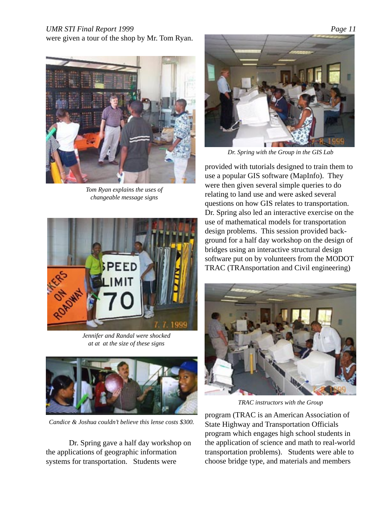were given a tour of the shop by Mr. Tom Ryan.



*Tom Ryan explains the uses of changeable message signs*



*Jennifer and Randal were shocked at at at the size of these signs*



*Candice & Joshua couldn't believe this lense costs \$300.*

Dr. Spring gave a half day workshop on the applications of geographic information systems for transportation. Students were



*Dr. Spring with the Group in the GIS Lab*

provided with tutorials designed to train them to use a popular GIS software (MapInfo). They were then given several simple queries to do relating to land use and were asked several questions on how GIS relates to transportation. Dr. Spring also led an interactive exercise on the use of mathematical models for transportation design problems. This session provided background for a half day workshop on the design of bridges using an interactive structural design software put on by volunteers from the MODOT TRAC (TRAnsportation and Civil engineering)



*TRAC instructors with the Group*

program (TRAC is an American Association of State Highway and Transportation Officials program which engages high school students in the application of science and math to real-world transportation problems). Students were able to choose bridge type, and materials and members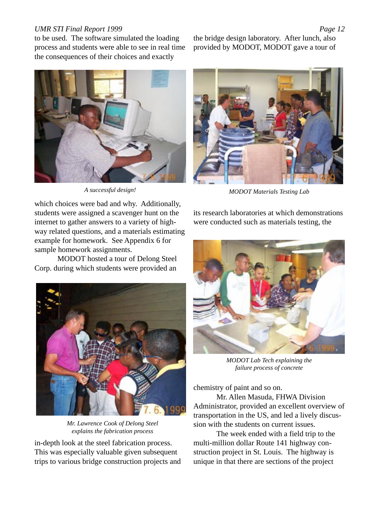to be used. The software simulated the loading process and students were able to see in real time the consequences of their choices and exactly



*A successful design!*

the bridge design laboratory. After lunch, also provided by MODOT, MODOT gave a tour of



*MODOT Materials Testing Lab*

which choices were bad and why. Additionally, students were assigned a scavenger hunt on the internet to gather answers to a variety of highway related questions, and a materials estimating example for homework. See Appendix 6 for sample homework assignments.

MODOT hosted a tour of Delong Steel Corp. during which students were provided an



*Mr. Lawrence Cook of Delong Steel explains the fabrication process*

in-depth look at the steel fabrication process. This was especially valuable given subsequent trips to various bridge construction projects and its research laboratories at which demonstrations were conducted such as materials testing, the



*MODOT Lab Tech explaining the failure process of concrete*

chemistry of paint and so on.

Mr. Allen Masuda, FHWA Division Administrator, provided an excellent overview of transportation in the US, and led a lively discussion with the students on current issues.

The week ended with a field trip to the multi-million dollar Route 141 highway construction project in St. Louis. The highway is unique in that there are sections of the project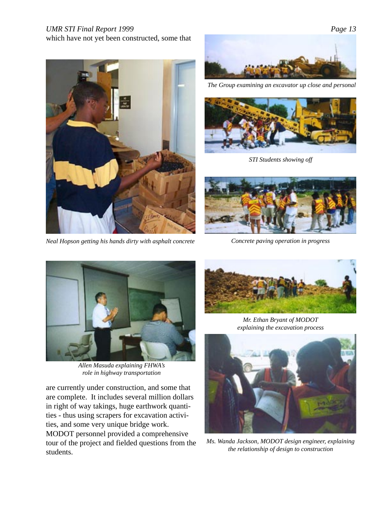### which have not yet been constructed, some that



*Neal Hopson getting his hands dirty with asphalt concrete*



*The Group examining an excavator up close and personal*



*STI Students showing off*



*Concrete paving operation in progress*



*Allen Masuda explaining FHWA's role in highway transportation*

are currently under construction, and some that are complete. It includes several million dollars in right of way takings, huge earthwork quantities - thus using scrapers for excavation activities, and some very unique bridge work. MODOT personnel provided a comprehensive tour of the project and fielded questions from the students.



*Mr. Ethan Bryant of MODOT explaining the excavation process*



*Ms. Wanda Jackson, MODOT design engineer, explaining the relationship of design to construction*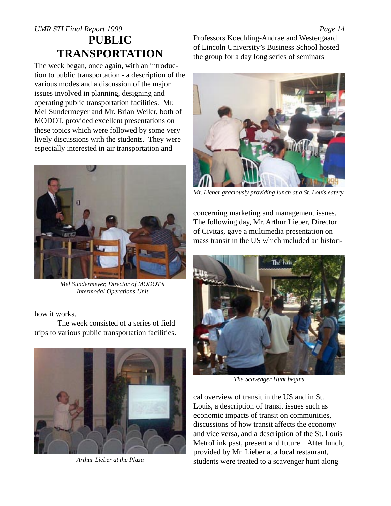<span id="page-13-0"></span>The week began, once again, with an introduction to public transportation - a description of the various modes and a discussion of the major issues involved in planning, designing and operating public transportation facilities. Mr. Mel Sundermeyer and Mr. Brian Weiler, both of MODOT, provided excellent presentations on these topics which were followed by some very lively discussions with the students. They were especially interested in air transportation and



*Mel Sundermeyer, Director of MODOT's Intermodal Operations Unit*

how it works.

The week consisted of a series of field trips to various public transportation facilities.



*Arthur Lieber at the Plaza*

Professors Koechling-Andrae and Westergaard of Lincoln University's Business School hosted the group for a day long series of seminars



*Mr. Lieber graciously providing lunch at a St. Louis eatery*

concerning marketing and management issues. The following day, Mr. Arthur Lieber, Director of Civitas, gave a multimedia presentation on mass transit in the US which included an histori-



*The Scavenger Hunt begins*

cal overview of transit in the US and in St. Louis, a description of transit issues such as economic impacts of transit on communities, discussions of how transit affects the economy and vice versa, and a description of the St. Louis MetroLink past, present and future. After lunch, provided by Mr. Lieber at a local restaurant, students were treated to a scavenger hunt along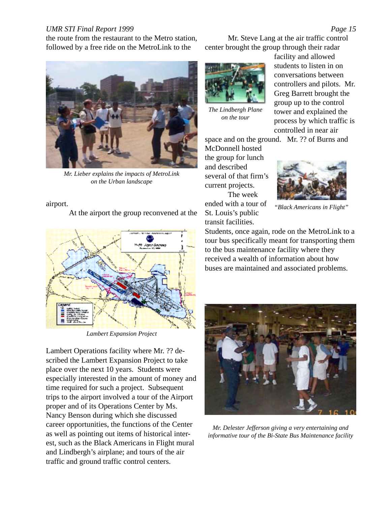the route from the restaurant to the Metro station, followed by a free ride on the MetroLink to the



*Mr. Lieber explains the impacts of MetroLink on the Urban landscape*

#### airport.

At the airport the group reconvened at the



*Lambert Expansion Project*

Lambert Operations facility where Mr. ?? described the Lambert Expansion Project to take place over the next 10 years. Students were especially interested in the amount of money and time required for such a project. Subsequent trips to the airport involved a tour of the Airport proper and of its Operations Center by Ms. Nancy Benson during which she discussed career opportunities, the functions of the Center as well as pointing out items of historical interest, such as the Black Americans in Flight mural and Lindbergh's airplane; and tours of the air traffic and ground traffic control centers.

Mr. Steve Lang at the air traffic control center brought the group through their radar



*The Lindbergh Plane on the tour*

facility and allowed students to listen in on conversations between controllers and pilots. Mr. Greg Barrett brought the group up to the control tower and explained the process by which traffic is controlled in near air

space and on the ground. Mr. ?? of Burns and

McDonnell hosted the group for lunch and described several of that firm's current projects. The week ended with a tour of St. Louis's public transit facilities.



*"Black Americans in Flight"*

Students, once again, rode on the MetroLink to a tour bus specifically meant for transporting them to the bus maintenance facility where they received a wealth of information about how buses are maintained and associated problems.



*Mr. Delester Jefferson giving a very entertaining and informative tour of the Bi-State Bus Maintenance facility*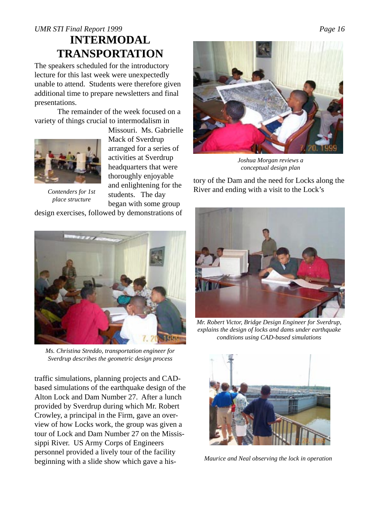### <span id="page-15-0"></span>*UMR STI Final Report 1999 Page 16* **INTERMODAL TRANSPORTATION**

The speakers scheduled for the introductory lecture for this last week were unexpectedly unable to attend. Students were therefore given additional time to prepare newsletters and final presentations.

The remainder of the week focused on a variety of things crucial to intermodalism in



*place structure*

Missouri. Ms. Gabrielle Mack of Sverdrup arranged for a series of activities at Sverdrup headquarters that were thoroughly enjoyable and enlightening for the students. The day began with some group design exercises, followed by demonstrations of



*Ms. Christina Streddo, transportation engineer for Sverdrup describes the geometric design process*

traffic simulations, planning projects and CADbased simulations of the earthquake design of the Alton Lock and Dam Number 27. After a lunch provided by Sverdrup during which Mr. Robert Crowley, a principal in the Firm, gave an overview of how Locks work, the group was given a tour of Lock and Dam Number 27 on the Mississippi River. US Army Corps of Engineers personnel provided a lively tour of the facility beginning with a slide show which gave a his-



*Joshua Morgan reviews a conceptual design plan*

tory of the Dam and the need for Locks along the *Contenders for 1st* and emiglicantly for the River and ending with a visit to the Lock's



*Mr. Robert Victor, Bridge Design Engineer for Sverdrup, explains the design of locks and dams under earthquake conditions using CAD-based simulations*



*Maurice and Neal observing the lock in operation*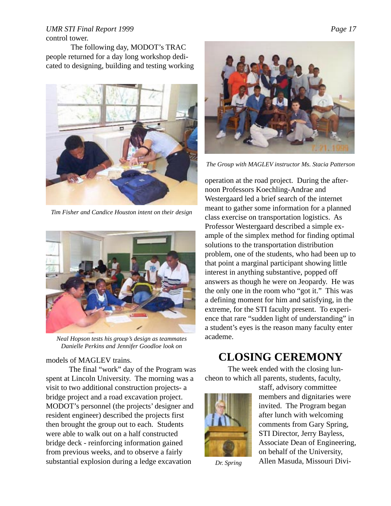#### <span id="page-16-0"></span>*UMR STI Final Report 1999 Page 17* control tower.

 The following day, MODOT's TRAC people returned for a day long workshop dedicated to designing, building and testing working



*Tim Fisher and Candice Houston intent on their design*



*Neal Hopson tests his group's design as teammates Danielle Perkins and Jennifer Goodloe look on*

#### models of MAGLEV trains.

The final "work" day of the Program was spent at Lincoln University. The morning was a visit to two additional construction projects- a bridge project and a road excavation project. MODOT's personnel (the projects' designer and resident engineer) described the projects first then brought the group out to each. Students were able to walk out on a half constructed bridge deck - reinforcing information gained from previous weeks, and to observe a fairly substantial explosion during a ledge excavation



*The Group with MAGLEV instructor Ms. Stacia Patterson*

operation at the road project. During the afternoon Professors Koechling-Andrae and Westergaard led a brief search of the internet meant to gather some information for a planned class exercise on transportation logistics. As Professor Westergaard described a simple example of the simplex method for finding optimal solutions to the transportation distribution problem, one of the students, who had been up to that point a marginal participant showing little interest in anything substantive, popped off answers as though he were on Jeopardy. He was the only one in the room who "got it." This was a defining moment for him and satisfying, in the extreme, for the STI faculty present. To experience that rare "sudden light of understanding" in a student's eyes is the reason many faculty enter academe.

### **CLOSING CEREMONY**

The week ended with the closing luncheon to which all parents, students, faculty,



*Dr. Spring*

staff, advisory committee members and dignitaries were invited. The Program began after lunch with welcoming comments from Gary Spring, STI Director, Jerry Bayless, Associate Dean of Engineering, on behalf of the University, Allen Masuda, Missouri Divi-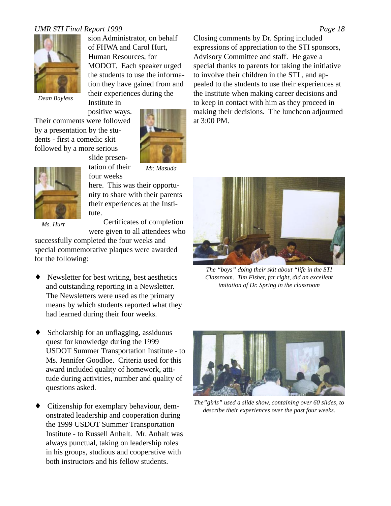

sion Administrator, on behalf of FHWA and Carol Hurt, Human Resources, for MODOT. Each speaker urged the students to use the information they have gained from and their experiences during the

*Dean Bayless*

Institute in positive ways.

Their comments were followed by a presentation by the students - first a comedic skit followed by a more serious



slide presentation of their four weeks

*Mr. Masuda*

here. This was their opportunity to share with their parents their experiences at the Institute.

*Ms. Hurt*

Certificates of completion were given to all attendees who

successfully completed the four weeks and special commemorative plaques were awarded for the following:

- Newsletter for best writing, best aesthetics and outstanding reporting in a Newsletter. The Newsletters were used as the primary means by which students reported what they had learned during their four weeks.
- Scholarship for an unflagging, assiduous quest for knowledge during the 1999 USDOT Summer Transportation Institute - to Ms. Jennifer Goodloe. Criteria used for this award included quality of homework, attitude during activities, number and quality of questions asked.
- Citizenship for exemplary behaviour, demonstrated leadership and cooperation during the 1999 USDOT Summer Transportation Institute - to Russell Anhalt. Mr. Anhalt was always punctual, taking on leadership roles in his groups, studious and cooperative with both instructors and his fellow students.

Closing comments by Dr. Spring included expressions of appreciation to the STI sponsors, Advisory Committee and staff. He gave a special thanks to parents for taking the initiative to involve their children in the STI , and appealed to the students to use their experiences at the Institute when making career decisions and to keep in contact with him as they proceed in making their decisions. The luncheon adjourned at 3:00 PM.



*The "boys" doing their skit about "life in the STI Classroom. Tim Fisher, far right, did an excellent imitation of Dr. Spring in the classroom*



*The"girls" used a slide show, containing over 60 slides, to describe their experiences over the past four weeks.*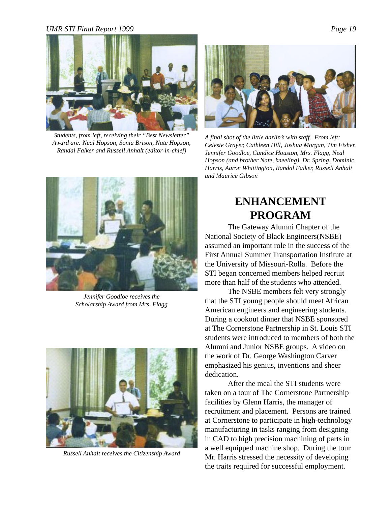<span id="page-18-0"></span>

*Students, from left, receiving their "Best Newsletter" Award are: Neal Hopson, Sonia Brison, Nate Hopson, Randal Falker and Russell Anhalt (editor-in-chief)*



*A final shot of the little darlin's with staff. From left: Celeste Grayer, Cathleen Hill, Joshua Morgan, Tim Fisher, Jennifer Goodloe, Candice Houston, Mrs. Flagg, Neal Hopson (and brother Nate, kneeling), Dr. Spring, Dominic Harris, Aaron Whittington, Randal Falker, Russell Anhalt and Maurice Gibson*



*Jennifer Goodloe receives the Scholarship Award from Mrs. Flagg*



*Russell Anhalt receives the Citizenship Award*

## **ENHANCEMENT PROGRAM**

The Gateway Alumni Chapter of the National Society of Black Engineers(NSBE) assumed an important role in the success of the First Annual Summer Transportation Institute at the University of Missouri-Rolla. Before the STI began concerned members helped recruit more than half of the students who attended.

The NSBE members felt very strongly that the STI young people should meet African American engineers and engineering students. During a cookout dinner that NSBE sponsored at The Cornerstone Partnership in St. Louis STI students were introduced to members of both the Alumni and Junior NSBE groups. A video on the work of Dr. George Washington Carver emphasized his genius, inventions and sheer dedication.

After the meal the STI students were taken on a tour of The Cornerstone Partnership facilities by Glenn Harris, the manager of recruitment and placement. Persons are trained at Cornerstone to participate in high-technology manufacturing in tasks ranging from designing in CAD to high precision machining of parts in a well equipped machine shop. During the tour Mr. Harris stressed the necessity of developing the traits required for successful employment.